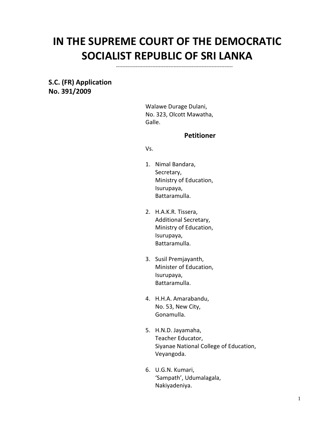# **IN THE SUPREME COURT OF THE DEMOCRATIC SOCIALIST REPUBLIC OF SRI LANKA**

-----------------------------------------------------------------------

**S.C. (FR) Application No. 391/2009**

> Walawe Durage Dulani, No. 323, Olcott Mawatha, Galle.

### **Petitioner**

Vs.

- 1. Nimal Bandara, Secretary, Ministry of Education, Isurupaya, Battaramulla.
- 2. H.A.K.R. Tissera, Additional Secretary, Ministry of Education, Isurupaya, Battaramulla.
- 3. Susil Premjayanth, Minister of Education, Isurupaya, Battaramulla.
- 4. H.H.A. Amarabandu, No. 53, New City, Gonamulla.
- 5. H.N.D. Jayamaha, Teacher Educator, Siyanae National College of Education, Veyangoda.
- 6. U.G.N. Kumari, 'Sampath', Udumalagala, Nakiyadeniya.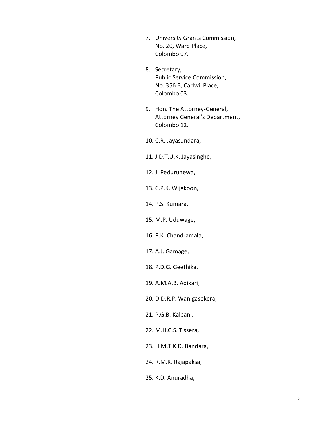- 7. University Grants Commission, No. 20, Ward Place, Colombo 07.
- 8. Secretary, Public Service Commission, No. 356 B, Carlwil Place, Colombo 03.
- 9. Hon. The Attorney-General, Attorney General's Department, Colombo 12.

10. C.R. Jayasundara,

- 11. J.D.T.U.K. Jayasinghe,
- 12. J. Peduruhewa,
- 13. C.P.K. Wijekoon,
- 14. P.S. Kumara,
- 15. M.P. Uduwage,
- 16. P.K. Chandramala,
- 17. A.J. Gamage,
- 18. P.D.G. Geethika,

19. A.M.A.B. Adikari,

20. D.D.R.P. Wanigasekera,

21. P.G.B. Kalpani,

22. M.H.C.S. Tissera,

23. H.M.T.K.D. Bandara,

24. R.M.K. Rajapaksa,

25. K.D. Anuradha,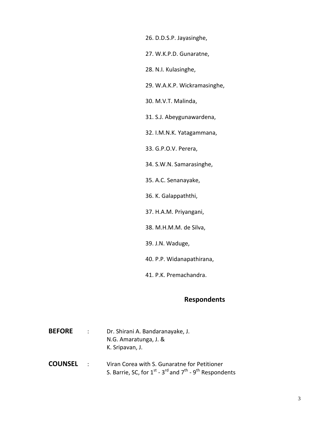26. D.D.S.P. Jayasinghe,

27. W.K.P.D. Gunaratne,

28. N.I. Kulasinghe,

29. W.A.K.P. Wickramasinghe,

30. M.V.T. Malinda,

31. S.J. Abeygunawardena,

32. I.M.N.K. Yatagammana,

33. G.P.O.V. Perera,

34. S.W.N. Samarasinghe,

35. A.C. Senanayake,

36. K. Galappaththi,

37. H.A.M. Priyangani,

38. M.H.M.M. de Silva,

39. J.N. Waduge,

40. P.P. Widanapathirana,

41. P.K. Premachandra.

## **Respondents**

| <b>BEFORE</b> | Dr. Shirani A. Bandaranayake, J. |
|---------------|----------------------------------|
|               | N.G. Amaratunga, J. &            |
|               | K. Sripavan, J.                  |
|               |                                  |

**COUNSEL** : Viran Corea with S. Gunaratne for Petitioner S. Barrie, SC, for 1<sup>st</sup> - 3<sup>rd</sup> and 7<sup>th</sup> - 9<sup>th</sup> Respondents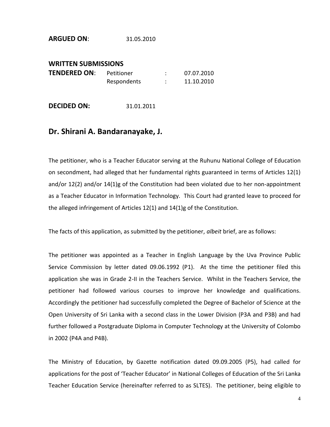#### **ARGUED ON**: 31.05.2010

## **WRITTEN SUBMISSIONS TENDERED ON:** Petitioner : 07.07.2010 Respondents : 11.10.2010

**DECIDED ON:** 31.01.2011

## **Dr. Shirani A. Bandaranayake, J.**

The petitioner, who is a Teacher Educator serving at the Ruhunu National College of Education on secondment, had alleged that her fundamental rights guaranteed in terms of Articles 12(1) and/or 12(2) and/or 14(1)g of the Constitution had been violated due to her non-appointment as a Teacher Educator in Information Technology. This Court had granted leave to proceed for the alleged infringement of Articles 12(1) and 14(1)g of the Constitution.

The facts of this application, as submitted by the petitioner, *albeit* brief, are as follows:

The petitioner was appointed as a Teacher in English Language by the Uva Province Public Service Commission by letter dated 09.06.1992 (P1). At the time the petitioner filed this application she was in Grade 2-II in the Teachers Service. Whilst in the Teachers Service, the petitioner had followed various courses to improve her knowledge and qualifications. Accordingly the petitioner had successfully completed the Degree of Bachelor of Science at the Open University of Sri Lanka with a second class in the Lower Division (P3A and P3B) and had further followed a Postgraduate Diploma in Computer Technology at the University of Colombo in 2002 (P4A and P4B).

The Ministry of Education, by Gazette notification dated 09.09.2005 (P5), had called for applications for the post of 'Teacher Educator' in National Colleges of Education of the Sri Lanka Teacher Education Service (hereinafter referred to as SLTES). The petitioner, being eligible to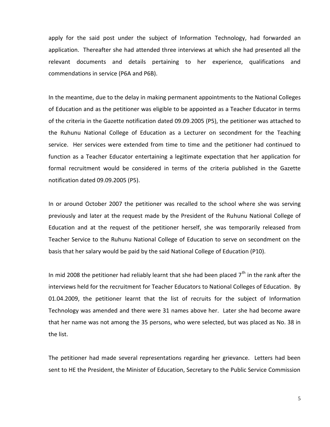apply for the said post under the subject of Information Technology, had forwarded an application. Thereafter she had attended three interviews at which she had presented all the relevant documents and details pertaining to her experience, qualifications and commendations in service (P6A and P6B).

In the meantime, due to the delay in making permanent appointments to the National Colleges of Education and as the petitioner was eligible to be appointed as a Teacher Educator in terms of the criteria in the Gazette notification dated 09.09.2005 (P5), the petitioner was attached to the Ruhunu National College of Education as a Lecturer on secondment for the Teaching service. Her services were extended from time to time and the petitioner had continued to function as a Teacher Educator entertaining a legitimate expectation that her application for formal recruitment would be considered in terms of the criteria published in the Gazette notification dated 09.09.2005 (P5).

In or around October 2007 the petitioner was recalled to the school where she was serving previously and later at the request made by the President of the Ruhunu National College of Education and at the request of the petitioner herself, she was temporarily released from Teacher Service to the Ruhunu National College of Education to serve on secondment on the basis that her salary would be paid by the said National College of Education (P10).

In mid 2008 the petitioner had reliably learnt that she had been placed  $7<sup>th</sup>$  in the rank after the interviews held for the recruitment for Teacher Educators to National Colleges of Education. By 01.04.2009, the petitioner learnt that the list of recruits for the subject of Information Technology was amended and there were 31 names above her. Later she had become aware that her name was not among the 35 persons, who were selected, but was placed as No. 38 in the list.

The petitioner had made several representations regarding her grievance. Letters had been sent to HE the President, the Minister of Education, Secretary to the Public Service Commission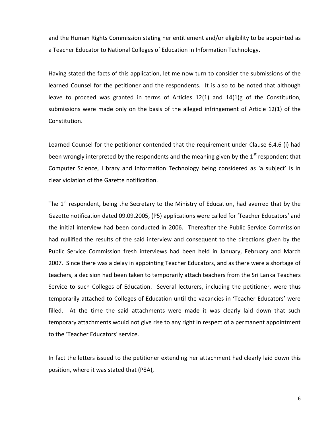and the Human Rights Commission stating her entitlement and/or eligibility to be appointed as a Teacher Educator to National Colleges of Education in Information Technology.

Having stated the facts of this application, let me now turn to consider the submissions of the learned Counsel for the petitioner and the respondents. It is also to be noted that although leave to proceed was granted in terms of Articles 12(1) and 14(1)g of the Constitution, submissions were made only on the basis of the alleged infringement of Article 12(1) of the Constitution.

Learned Counsel for the petitioner contended that the requirement under Clause 6.4.6 (i) had been wrongly interpreted by the respondents and the meaning given by the  $1<sup>st</sup>$  respondent that Computer Science, Library and Information Technology being considered as 'a subject' is in clear violation of the Gazette notification.

The  $1<sup>st</sup>$  respondent, being the Secretary to the Ministry of Education, had averred that by the Gazette notification dated 09.09.2005, (P5) applications were called for 'Teacher Educators' and the initial interview had been conducted in 2006. Thereafter the Public Service Commission had nullified the results of the said interview and consequent to the directions given by the Public Service Commission fresh interviews had been held in January, February and March 2007. Since there was a delay in appointing Teacher Educators, and as there were a shortage of teachers, a decision had been taken to temporarily attach teachers from the Sri Lanka Teachers Service to such Colleges of Education. Several lecturers, including the petitioner, were thus temporarily attached to Colleges of Education until the vacancies in 'Teacher Educators' were filled. At the time the said attachments were made it was clearly laid down that such temporary attachments would not give rise to any right in respect of a permanent appointment to the 'Teacher Educators' service.

In fact the letters issued to the petitioner extending her attachment had clearly laid down this position, where it was stated that (P8A),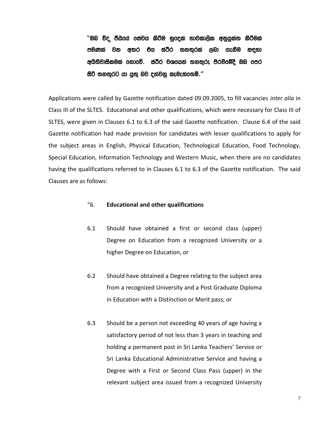''Tn ú» mSGfha fiajh lsrSu yqfola ;djld,sl wkqhqla; lsrSula පමණක් වන අතර එය ස්ථිර තනතුරක් ලබා ගැනීම සඳහා අයිතිවාසිකමක් ගනාවේ. ස්ථිර වශයෙන් තනතුරු පිරවීමේදී ඔබ පෙර සිටි තනතුරට යා යුතු බව දන්වනු කැමැත්තෙමි.''

Applications were called by Gazette notification dated 09.09.2005, to fill vacancies *inter alia* in Class III of the SLTES. Educational and other qualifications, which were necessary for Class III of SLTES, were given in Clauses 6.1 to 6.3 of the said Gazette notification. Clause 6.4 of the said Gazette notification had made provision for candidates with lesser qualifications to apply for the subject areas in English, Physical Education, Technological Education, Food Technology, Special Education, Information Technology and Western Music, when there are no candidates having the qualifications referred to in Clauses 6.1 to 6.3 of the Gazette notification. The said Clauses are as follows:

## "6. **Educational and other qualifications**

- 6.1 Should have obtained a first or second class (upper) Degree on Education from a recognized University or a higher Degree on Education, or
- 6.2 Should have obtained a Degree relating to the subject area from a recognized University and a Post Graduate Diploma in Education with a Distinction or Merit pass; or
- 6.3 Should be a person not exceeding 40 years of age having a satisfactory period of not less than 3 years in teaching and holding a permanent post in Sri Lanka Teachers' Service or Sri Lanka Educational Administrative Service and having a Degree with a First or Second Class Pass (upper) in the relevant subject area issued from a recognized University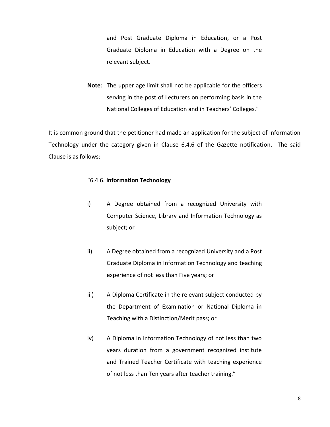and Post Graduate Diploma in Education, or a Post Graduate Diploma in Education with a Degree on the relevant subject.

**Note**: The upper age limit shall not be applicable for the officers serving in the post of Lecturers on performing basis in the National Colleges of Education and in Teachers' Colleges."

It is common ground that the petitioner had made an application for the subject of Information Technology under the category given in Clause 6.4.6 of the Gazette notification. The said Clause is as follows:

#### "6.4.6. **Information Technology**

- i) A Degree obtained from a recognized University with Computer Science, Library and Information Technology as subject; or
- ii) A Degree obtained from a recognized University and a Post Graduate Diploma in Information Technology and teaching experience of not less than Five years; or
- iii) A Diploma Certificate in the relevant subject conducted by the Department of Examination or National Diploma in Teaching with a Distinction/Merit pass; or
- iv) A Diploma in Information Technology of not less than two years duration from a government recognized institute and Trained Teacher Certificate with teaching experience of not less than Ten years after teacher training."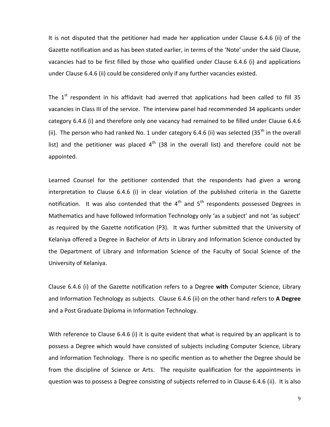It is not disputed that the petitioner had made her application under Clause 6.4.6 (ii) of the Gazette notification and as has been stated earlier, in terms of the 'Note' under the said Clause, vacancies had to be first filled by those who qualified under Clause 6.4.6 (i) and applications under Clause 6.4.6 (ii) could be considered only if any further vacancies existed.

The  $1<sup>st</sup>$  respondent in his affidavit had averred that applications had been called to fill 35 vacancies in Class III of the service. The interview panel had recommended 34 applicants under category 6.4.6 (i) and therefore only one vacancy had remained to be filled under Clause 6.4.6 (ii). The person who had ranked No. 1 under category 6.4.6 (ii) was selected (35<sup>th</sup> in the overall list) and the petitioner was placed  $4<sup>th</sup>$  (38 in the overall list) and therefore could not be appointed.

Learned Counsel for the petitioner contended that the respondents had given a wrong interpretation to Clause 6.4.6 (i) in clear violation of the published criteria in the Gazette notification. It was also contended that the  $4<sup>th</sup>$  and  $5<sup>th</sup>$  respondents possessed Degrees in Mathematics and have followed Information Technology only 'as a subject' and not 'as subject' as required by the Gazette notification (P3). It was further submitted that the University of Kelaniya offered a Degree in Bachelor of Arts in Library and Information Science conducted by the Department of Library and Information Science of the Faculty of Social Science of the University of Kelaniya.

Clause 6.4.6 (i) of the Gazette notification refers to a Degree **with** Computer Science, Library and Information Technology as subjects. Clause 6.4.6 (ii) on the other hand refers to **A Degree** and a Post Graduate Diploma in Information Technology.

With reference to Clause 6.4.6 (i) it is quite evident that what is required by an applicant is to possess a Degree which would have consisted of subjects including Computer Science, Library and Information Technology. There is no specific mention as to whether the Degree should be from the discipline of Science or Arts. The requisite qualification for the appointments in question was to possess a Degree consisting of subjects referred to in Clause 6.4.6 (ii). It is also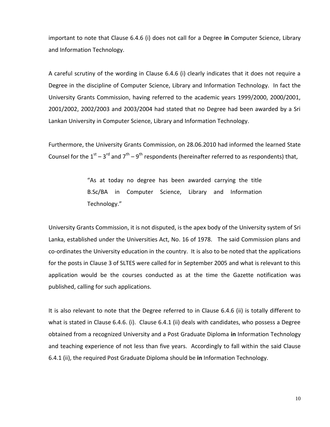important to note that Clause 6.4.6 (i) does not call for a Degree **in** Computer Science, Library and Information Technology.

A careful scrutiny of the wording in Clause 6.4.6 (i) clearly indicates that it does not require a Degree in the discipline of Computer Science, Library and Information Technology. In fact the University Grants Commission, having referred to the academic years 1999/2000, 2000/2001, 2001/2002, 2002/2003 and 2003/2004 had stated that no Degree had been awarded by a Sri Lankan University in Computer Science, Library and Information Technology.

Furthermore, the University Grants Commission, on 28.06.2010 had informed the learned State Counsel for the  $1<sup>st</sup> - 3<sup>rd</sup>$  and  $7<sup>th</sup> - 9<sup>th</sup>$  respondents (hereinafter referred to as respondents) that,

> "As at today no degree has been awarded carrying the title B.Sc/BA in Computer Science, Library and Information Technology."

University Grants Commission, it is not disputed, is the apex body of the University system of Sri Lanka, established under the Universities Act, No. 16 of 1978. The said Commission plans and co-ordinates the University education in the country. It is also to be noted that the applications for the posts in Clause 3 of SLTES were called for in September 2005 and what is relevant to this application would be the courses conducted as at the time the Gazette notification was published, calling for such applications.

It is also relevant to note that the Degree referred to in Clause 6.4.6 (ii) is totally different to what is stated in Clause 6.4.6. (i). Clause 6.4.1 (ii) deals with candidates, who possess a Degree obtained from a recognized University and a Post Graduate Diploma **in** Information Technology and teaching experience of not less than five years. Accordingly to fall within the said Clause 6.4.1 (ii), the required Post Graduate Diploma should be **in** Information Technology.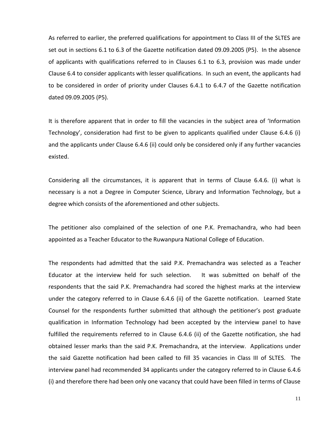As referred to earlier, the preferred qualifications for appointment to Class III of the SLTES are set out in sections 6.1 to 6.3 of the Gazette notification dated 09.09.2005 (P5). In the absence of applicants with qualifications referred to in Clauses 6.1 to 6.3, provision was made under Clause 6.4 to consider applicants with lesser qualifications. In such an event, the applicants had to be considered in order of priority under Clauses 6.4.1 to 6.4.7 of the Gazette notification dated 09.09.2005 (P5).

It is therefore apparent that in order to fill the vacancies in the subject area of 'Information Technology', consideration had first to be given to applicants qualified under Clause 6.4.6 (i) and the applicants under Clause 6.4.6 (ii) could only be considered only if any further vacancies existed.

Considering all the circumstances, it is apparent that in terms of Clause 6.4.6. (i) what is necessary is a not a Degree in Computer Science, Library and Information Technology, but a degree which consists of the aforementioned and other subjects.

The petitioner also complained of the selection of one P.K. Premachandra, who had been appointed as a Teacher Educator to the Ruwanpura National College of Education.

The respondents had admitted that the said P.K. Premachandra was selected as a Teacher Educator at the interview held for such selection. It was submitted on behalf of the respondents that the said P.K. Premachandra had scored the highest marks at the interview under the category referred to in Clause 6.4.6 (ii) of the Gazette notification. Learned State Counsel for the respondents further submitted that although the petitioner's post graduate qualification in Information Technology had been accepted by the interview panel to have fulfilled the requirements referred to in Clause 6.4.6 (ii) of the Gazette notification, she had obtained lesser marks than the said P.K. Premachandra, at the interview. Applications under the said Gazette notification had been called to fill 35 vacancies in Class III of SLTES. The interview panel had recommended 34 applicants under the category referred to in Clause 6.4.6 (i) and therefore there had been only one vacancy that could have been filled in terms of Clause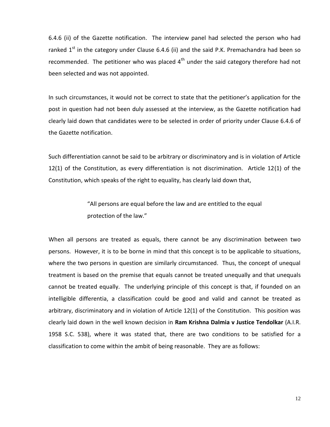6.4.6 (ii) of the Gazette notification. The interview panel had selected the person who had ranked  $1<sup>st</sup>$  in the category under Clause 6.4.6 (ii) and the said P.K. Premachandra had been so recommended. The petitioner who was placed  $4<sup>th</sup>$  under the said category therefore had not been selected and was not appointed.

In such circumstances, it would not be correct to state that the petitioner's application for the post in question had not been duly assessed at the interview, as the Gazette notification had clearly laid down that candidates were to be selected in order of priority under Clause 6.4.6 of the Gazette notification.

Such differentiation cannot be said to be arbitrary or discriminatory and is in violation of Article 12(1) of the Constitution, as every differentiation is not discrimination. Article 12(1) of the Constitution, which speaks of the right to equality, has clearly laid down that,

> "All persons are equal before the law and are entitled to the equal protection of the law."

When all persons are treated as equals, there cannot be any discrimination between two persons. However, it is to be borne in mind that this concept is to be applicable to situations, where the two persons in question are similarly circumstanced. Thus, the concept of unequal treatment is based on the premise that equals cannot be treated unequally and that unequals cannot be treated equally. The underlying principle of this concept is that, if founded on an intelligible differentia, a classification could be good and valid and cannot be treated as arbitrary, discriminatory and in violation of Article 12(1) of the Constitution. This position was clearly laid down in the well known decision in **Ram Krishna Dalmia v Justice Tendolkar** (A.I.R. 1958 S.C. 538), where it was stated that, there are two conditions to be satisfied for a classification to come within the ambit of being reasonable. They are as follows: